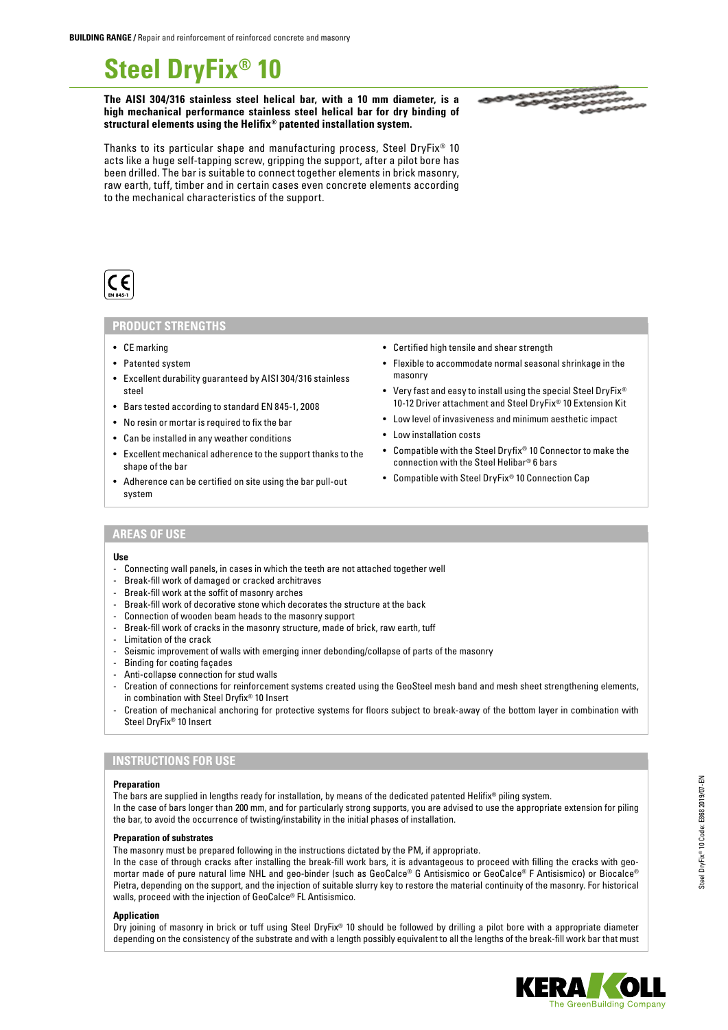# **Steel DryFix® 10**

**The AISI 304/316 stainless steel helical bar, with a 10 mm diameter, is a high mechanical performance stainless steel helical bar for dry binding of structural elements using the Helifix® patented installation system.**

Thanks to its particular shape and manufacturing process, Steel DryFix® 10 acts like a huge self-tapping screw, gripping the support, after a pilot bore has been drilled. The bar is suitable to connect together elements in brick masonry, raw earth, tuff, timber and in certain cases even concrete elements according to the mechanical characteristics of the support.



## **PRODUCT STRENGTHS**

- CE marking
- Patented system
- Excellent durability guaranteed by AISI 304/316 stainless steel
- Bars tested according to standard EN 845-1, 2008
- No resin or mortar is required to fix the bar
- Can be installed in any weather conditions
- Excellent mechanical adherence to the support thanks to the shape of the bar
- Adherence can be certified on site using the bar pull-out system
- Certified high tensile and shear strength
- Flexible to accommodate normal seasonal shrinkage in the masonry
- Very fast and easy to install using the special Steel DryFix<sup>®</sup> 10-12 Driver attachment and Steel DryFix® 10 Extension Kit
- Low level of invasiveness and minimum aesthetic impact
- Low installation costs
- Compatible with the Steel Dryfix® 10 Connector to make the connection with the Steel Helibar® 6 bars
- Compatible with Steel DryFix® 10 Connection Cap

## **AREAS OF USE**

#### **Use**

- Connecting wall panels, in cases in which the teeth are not attached together well
- Break-fill work of damaged or cracked architraves
- Break-fill work at the soffit of masonry arches
- Break-fill work of decorative stone which decorates the structure at the back
- Connection of wooden beam heads to the masonry support
- Break-fill work of cracks in the masonry structure, made of brick, raw earth, tuff
- Limitation of the crack
- Seismic improvement of walls with emerging inner debonding/collapse of parts of the masonry
- Binding for coating façades
- Anti-collapse connection for stud walls
- Creation of connections for reinforcement systems created using the GeoSteel mesh band and mesh sheet strengthening elements, in combination with Steel Dryfix® 10 Insert
- Creation of mechanical anchoring for protective systems for floors subject to break-away of the bottom layer in combination with Steel DryFix® 10 Insert

#### **INSTRUCTIONS FOR USE**

#### **Preparation**

The bars are supplied in lengths ready for installation, by means of the dedicated patented Helifix® piling system. In the case of bars longer than 200 mm, and for particularly strong supports, you are advised to use the appropriate extension for piling the bar, to avoid the occurrence of twisting/instability in the initial phases of installation.

#### **Preparation of substrates**

The masonry must be prepared following in the instructions dictated by the PM, if appropriate.

In the case of through cracks after installing the break-fill work bars, it is advantageous to proceed with filling the cracks with geomortar made of pure natural lime NHL and geo-binder (such as GeoCalce® G Antisismico or GeoCalce® F Antisismico) or Biocalce® Pietra, depending on the support, and the injection of suitable slurry key to restore the material continuity of the masonry. For historical walls, proceed with the injection of GeoCalce® FL Antisismico.

#### **Application**

Dry joining of masonry in brick or tuff using Steel DryFix® 10 should be followed by drilling a pilot bore with a appropriate diameter depending on the consistency of the substrate and with a length possibly equivalent to all the lengths of the break-fill work bar that must